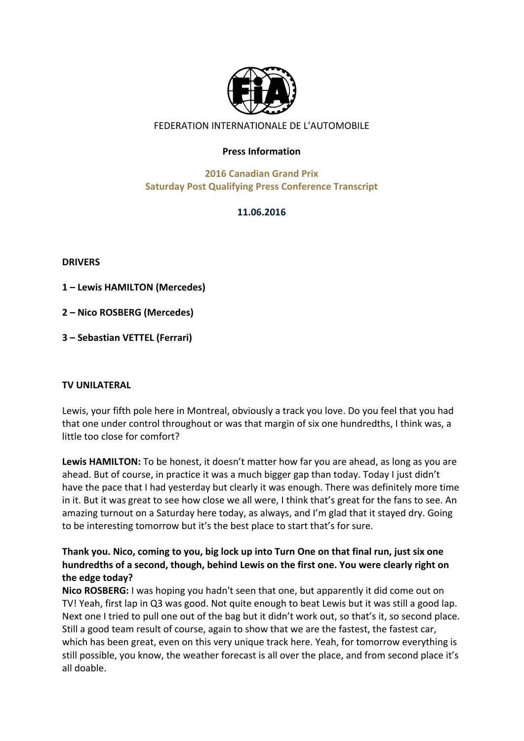

# FEDERATION INTERNATIONALE DE L'AUTOMOBILE

#### **Press Information**

# **2016 Canadian Grand Prix Saturday Post Qualifying Press Conference Transcript**

### **11.06.2016**

**DRIVERS**

**1 – Lewis HAMILTON (Mercedes)**

**2 – Nico ROSBERG (Mercedes)**

**3 – Sebastian VETTEL (Ferrari)**

#### **TV UNILATERAL**

Lewis, your fifth pole here in Montreal, obviously a track you love. Do you feel that you had that one under control throughout or was that margin of six one hundredths, I think was, a little too close for comfort?

**Lewis HAMILTON:** To be honest, it doesn't matter how far you are ahead, as long as you are ahead. But of course, in practice it was a much bigger gap than today. Today I just didn't have the pace that I had yesterday but clearly it was enough. There was definitely more time in it. But it was great to see how close we all were, I think that's great for the fans to see. An amazing turnout on a Saturday here today, as always, and I'm glad that it stayed dry. Going to be interesting tomorrow but it's the best place to start that's for sure.

# Thank you. Nico, coming to you, big lock up into Turn One on that final run, just six one hundredths of a second, though, behind Lewis on the first one. You were clearly right on the edge today?

**Nico ROSBERG:** I was hoping you hadn't seen that one, but apparently it did come out on TV! Yeah, first lap in Q3 was good. Not quite enough to beat Lewis but it was still a good lap. Next one I tried to pull one out of the bag but it didn't work out, so that's it, so second place. Still a good team result of course, again to show that we are the fastest, the fastest car, which has been great, even on this very unique track here. Yeah, for tomorrow everything is still possible, you know, the weather forecast is all over the place, and from second place it's all doable.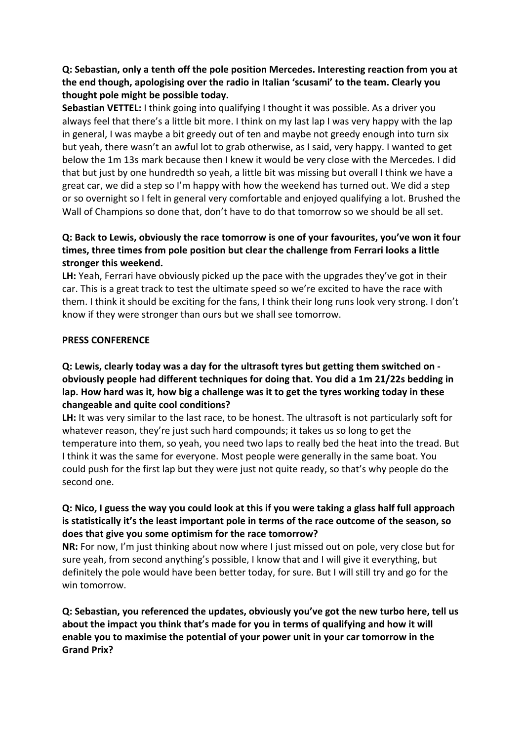# **Q:** Sebastian, only a tenth off the pole position Mercedes. Interesting reaction from you at the end though, apologising over the radio in Italian 'scusami' to the team. Clearly you **thought pole might be possible today.**

**Sebastian VETTEL:** I think going into qualifying I thought it was possible. As a driver you always feel that there's a little bit more. I think on my last lap I was very happy with the lap in general, I was maybe a bit greedy out of ten and maybe not greedy enough into turn six but yeah, there wasn't an awful lot to grab otherwise, as I said, very happy. I wanted to get below the 1m 13s mark because then I knew it would be very close with the Mercedes. I did that but just by one hundredth so yeah, a little bit was missing but overall I think we have a great car, we did a step so I'm happy with how the weekend has turned out. We did a step or so overnight so I felt in general very comfortable and enjoyed qualifying a lot. Brushed the Wall of Champions so done that, don't have to do that tomorrow so we should be all set.

# **Q:** Back to Lewis, obviously the race tomorrow is one of your favourites, you've won it four times, three times from pole position but clear the challenge from Ferrari looks a little stronger this weekend.

**LH:** Yeah, Ferrari have obviously picked up the pace with the upgrades they've got in their car. This is a great track to test the ultimate speed so we're excited to have the race with them. I think it should be exciting for the fans, I think their long runs look very strong. I don't know if they were stronger than ours but we shall see tomorrow.

### **PRESS CONFERENCE**

## **Q:** Lewis, clearly today was a day for the ultrasoft tyres but getting them switched on obviously people had different techniques for doing that. You did a 1m 21/22s bedding in lap. How hard was it, how big a challenge was it to get the tyres working today in these changeable and quite cool conditions?

LH: It was very similar to the last race, to be honest. The ultrasoft is not particularly soft for whatever reason, they're just such hard compounds; it takes us so long to get the temperature into them, so yeah, you need two laps to really bed the heat into the tread. But I think it was the same for everyone. Most people were generally in the same boat. You could push for the first lap but they were just not quite ready, so that's why people do the second one.

### **Q:** Nico, I guess the way you could look at this if you were taking a glass half full approach **is statistically it's the least important pole in terms of the race outcome of the season, so** does that give you some optimism for the race tomorrow?

**NR:** For now, I'm just thinking about now where I just missed out on pole, very close but for sure yeah, from second anything's possible, I know that and I will give it everything, but definitely the pole would have been better today, for sure. But I will still try and go for the win tomorrow.

**Q:** Sebastian, you referenced the updates, obviously you've got the new turbo here, tell us about the impact you think that's made for you in terms of qualifying and how it will enable you to maximise the potential of your power unit in your car tomorrow in the **Grand Prix?**